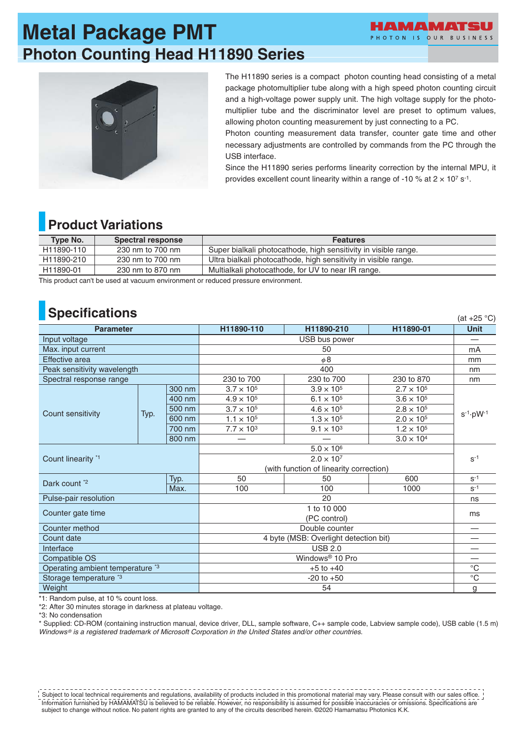# **Metal Package PMT Photon Counting Head H11890 Series**





The H11890 series is a compact photon counting head consisting of a metal package photomultiplier tube along with a high speed photon counting circuit and a high-voltage power supply unit. The high voltage supply for the photomultiplier tube and the discriminator level are preset to optimum values, allowing photon counting measurement by just connecting to a PC.

Photon counting measurement data transfer, counter gate time and other necessary adjustments are controlled by commands from the PC through the USB interface.

Since the H11890 series performs linearity correction by the internal MPU, it provides excellent count linearity within a range of -10 % at  $2 \times 10^7$  s<sup>-1</sup>.

## **Product Variations**

| Type No.   | Spectral response | <b>Features</b>                                                 |
|------------|-------------------|-----------------------------------------------------------------|
| H11890-110 | 230 nm to 700 nm  | Super bialkali photocathode, high sensitivity in visible range. |
| H11890-210 | 230 nm to 700 nm  | Ultra bialkali photocathode, high sensitivity in visible range. |
| H11890-01  | 230 nm to 870 nm  | Multialkali photocathode, for UV to near IR range.              |

This product can't be used at vacuum environment or reduced pressure environment.

## **Specifications**

| <b>Opcunuations</b><br>(at $+25$ °C)        |      |        |                                         |                     |                     |                        |  |
|---------------------------------------------|------|--------|-----------------------------------------|---------------------|---------------------|------------------------|--|
| <b>Parameter</b>                            |      |        | H11890-110                              | H11890-210          | H11890-01           | <b>Unit</b>            |  |
| Input voltage                               |      |        | USB bus power                           |                     |                     |                        |  |
| Max. input current                          |      |        | 50                                      |                     |                     | mA                     |  |
| Effective area                              |      |        | $\phi$ 8                                |                     |                     | mm                     |  |
| Peak sensitivity wavelength                 |      |        | 400                                     |                     |                     | nm                     |  |
| Spectral response range                     |      |        | 230 to 700                              | 230 to 700          | 230 to 870          | nm                     |  |
|                                             |      | 300 nm | $3.7 \times 10^{5}$                     | $3.9 \times 10^{5}$ | $2.7 \times 10^{5}$ | $s^{-1} \cdot pW^{-1}$ |  |
|                                             |      | 400 nm | $4.9 \times 10^{5}$                     | $6.1 \times 10^{5}$ | $3.6 \times 10^{5}$ |                        |  |
| Count sensitivity                           | Typ. | 500 nm | $3.7 \times 10^{5}$                     | $4.6 \times 10^{5}$ | $2.8 \times 10^{5}$ |                        |  |
|                                             |      | 600 nm | $1.1 \times 10^{5}$                     | $1.3 \times 10^{5}$ | $2.0 \times 10^{5}$ |                        |  |
|                                             |      | 700 nm | $7.7 \times 10^{3}$                     | $9.1 \times 10^{3}$ | $1.2 \times 10^{5}$ |                        |  |
|                                             |      | 800 nm |                                         |                     | $3.0 \times 10^{4}$ |                        |  |
| Count linearity *1                          |      |        | $5.0 \times 10^{6}$                     |                     |                     |                        |  |
|                                             |      |        | $2.0 \times 10^{7}$                     |                     |                     | $S^{-1}$               |  |
|                                             |      |        | (with function of linearity correction) |                     |                     |                        |  |
| Dark count *2                               |      | Typ.   | 50                                      | 50                  | 600                 | $S-1$                  |  |
|                                             |      | Max.   | 100                                     | 100                 | 1000                | $S^{-1}$               |  |
| Pulse-pair resolution                       |      |        | 20                                      |                     |                     | ns                     |  |
| Counter gate time                           |      |        | 1 to 10 000                             |                     |                     | ms                     |  |
|                                             |      |        | (PC control)                            |                     |                     |                        |  |
| Counter method                              |      |        | Double counter                          |                     |                     |                        |  |
| Count date                                  |      |        | 4 byte (MSB: Overlight detection bit)   |                     |                     |                        |  |
| Interface                                   |      |        | <b>USB 2.0</b>                          |                     |                     |                        |  |
| Compatible OS                               |      |        | Windows <sup>®</sup> 10 Pro             |                     |                     |                        |  |
| Operating ambient temperature <sup>*3</sup> |      |        | $+5$ to $+40$                           |                     |                     | $^{\circ}$ C           |  |
| Storage temperature *3                      |      |        | $-20$ to $+50$                          |                     |                     | $\overline{C}$         |  |
| Weight                                      |      |        | 54                                      |                     |                     | g                      |  |

\*1: Random pulse, at 10 % count loss.

\*2: After 30 minutes storage in darkness at plateau voltage.

\*3: No condensation

\* Supplied: CD-ROM (containing instruction manual, device driver, DLL, sample software, C++ sample code, Labview sample code), USB cable (1.5 m) *Windows ® is a registered trademark of Microsoft Corporation in the United States and/or other countries.*

Information furnished by HAMAMATSU is believed to be reliable. However, no responsibility is assumed for possible inaccuracies or omissions. Specifications are subject to change without notice. No patent rights are granted to any of the circuits described herein. ©2020 Hamamatsu Photonics K.K. Subject to local technical requirements and regulations, availability of products included in this promotional material may vary. Please consult with our sales office.